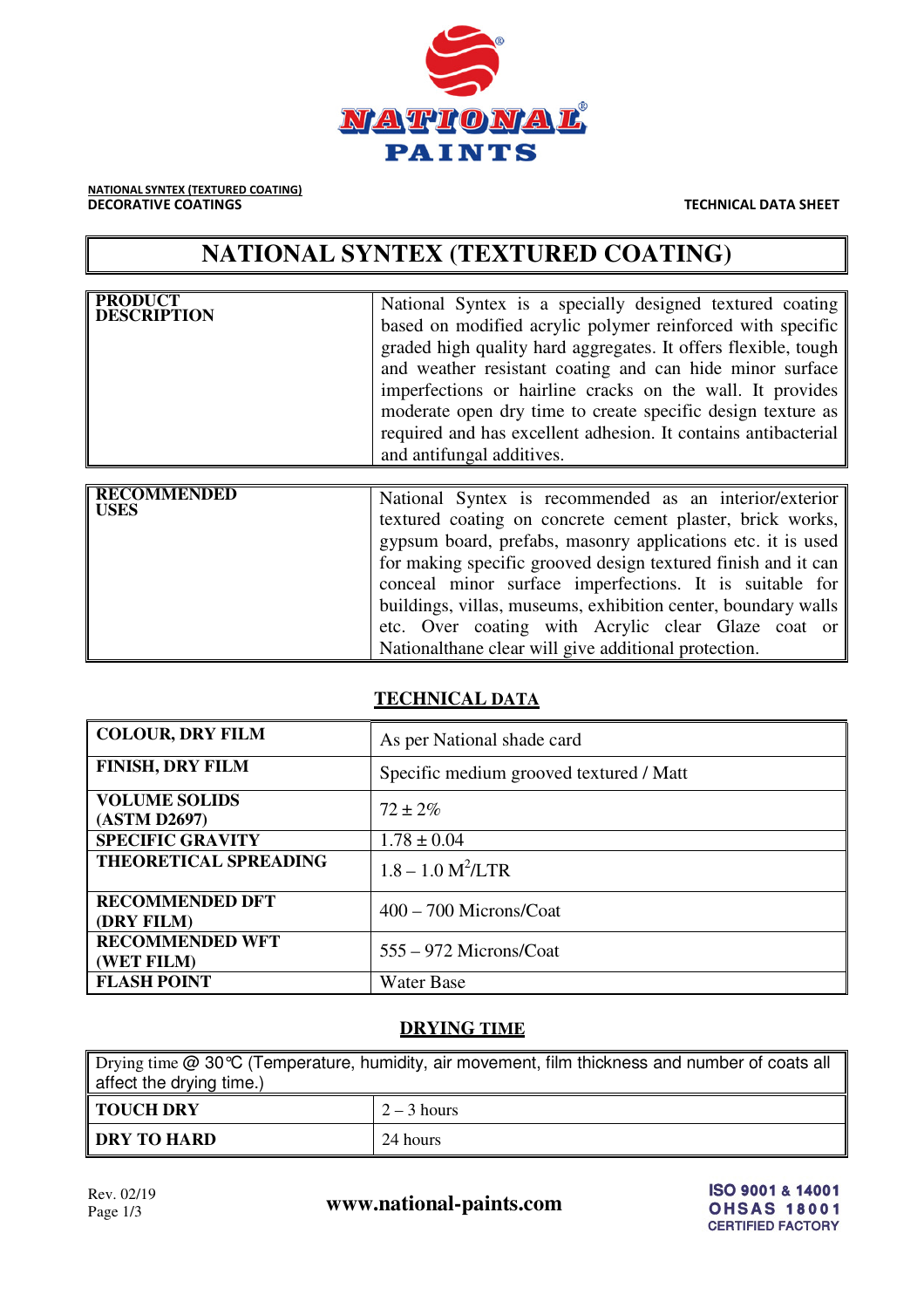

NATIONAL SYNTEX (TEXTURED COATING) **DECORATIVE COATINGS TECHNICAL DATA SHEET** 

# **NATIONAL SYNTEX (TEXTURED COATING)**

| <b>PRODUCT</b><br><b>DESCRIPTION</b> | National Syntex is a specially designed textured coating<br>based on modified acrylic polymer reinforced with specific<br>graded high quality hard aggregates. It offers flexible, tough<br>and weather resistant coating and can hide minor surface<br>imperfections or hairline cracks on the wall. It provides<br>moderate open dry time to create specific design texture as<br>required and has excellent adhesion. It contains antibacterial<br>and antifungal additives. |
|--------------------------------------|---------------------------------------------------------------------------------------------------------------------------------------------------------------------------------------------------------------------------------------------------------------------------------------------------------------------------------------------------------------------------------------------------------------------------------------------------------------------------------|
|--------------------------------------|---------------------------------------------------------------------------------------------------------------------------------------------------------------------------------------------------------------------------------------------------------------------------------------------------------------------------------------------------------------------------------------------------------------------------------------------------------------------------------|

| <b>RECOMMENDED</b><br><b>USES</b> | National Syntex is recommended as an interior/exterior<br>textured coating on concrete cement plaster, brick works,<br>gypsum board, prefabs, masonry applications etc. it is used<br>for making specific grooved design textured finish and it can<br>conceal minor surface imperfections. It is suitable for |
|-----------------------------------|----------------------------------------------------------------------------------------------------------------------------------------------------------------------------------------------------------------------------------------------------------------------------------------------------------------|
|                                   | buildings, villas, museums, exhibition center, boundary walls<br>etc. Over coating with Acrylic clear Glaze coat or<br>National than e clear will give additional protection.                                                                                                                                  |

# **TECHNICAL DATA**

| <b>COLOUR, DRY FILM</b>              | As per National shade card              |  |  |  |
|--------------------------------------|-----------------------------------------|--|--|--|
| <b>FINISH, DRY FILM</b>              | Specific medium grooved textured / Matt |  |  |  |
| <b>VOLUME SOLIDS</b><br>(ASTM D2697) | $72 \pm 2\%$                            |  |  |  |
| <b>SPECIFIC GRAVITY</b>              | $1.78 \pm 0.04$                         |  |  |  |
| THEORETICAL SPREADING                | $1.8 - 1.0 M^2/LTR$                     |  |  |  |
| <b>RECOMMENDED DFT</b><br>(DRY FILM) | $400 - 700$ Microns/Coat                |  |  |  |
| <b>RECOMMENDED WFT</b><br>(WET FILM) | 555 – 972 Microns/Coat                  |  |  |  |
| <b>FLASH POINT</b>                   | <b>Water Base</b>                       |  |  |  |

# **DRYING TIME**

Drying time @ 30°C (Temperature, humidity, air movement, film thickness and number of coats all affect the drying time.) **TOUCH DRY**  $\begin{array}{|c|c|c|c|c|} \hline 2-3 \text{ hours} \end{array}$ **DRY TO HARD** 24 hours

Rev. 02/19<br>Page 1/3 **www.national-paints.com**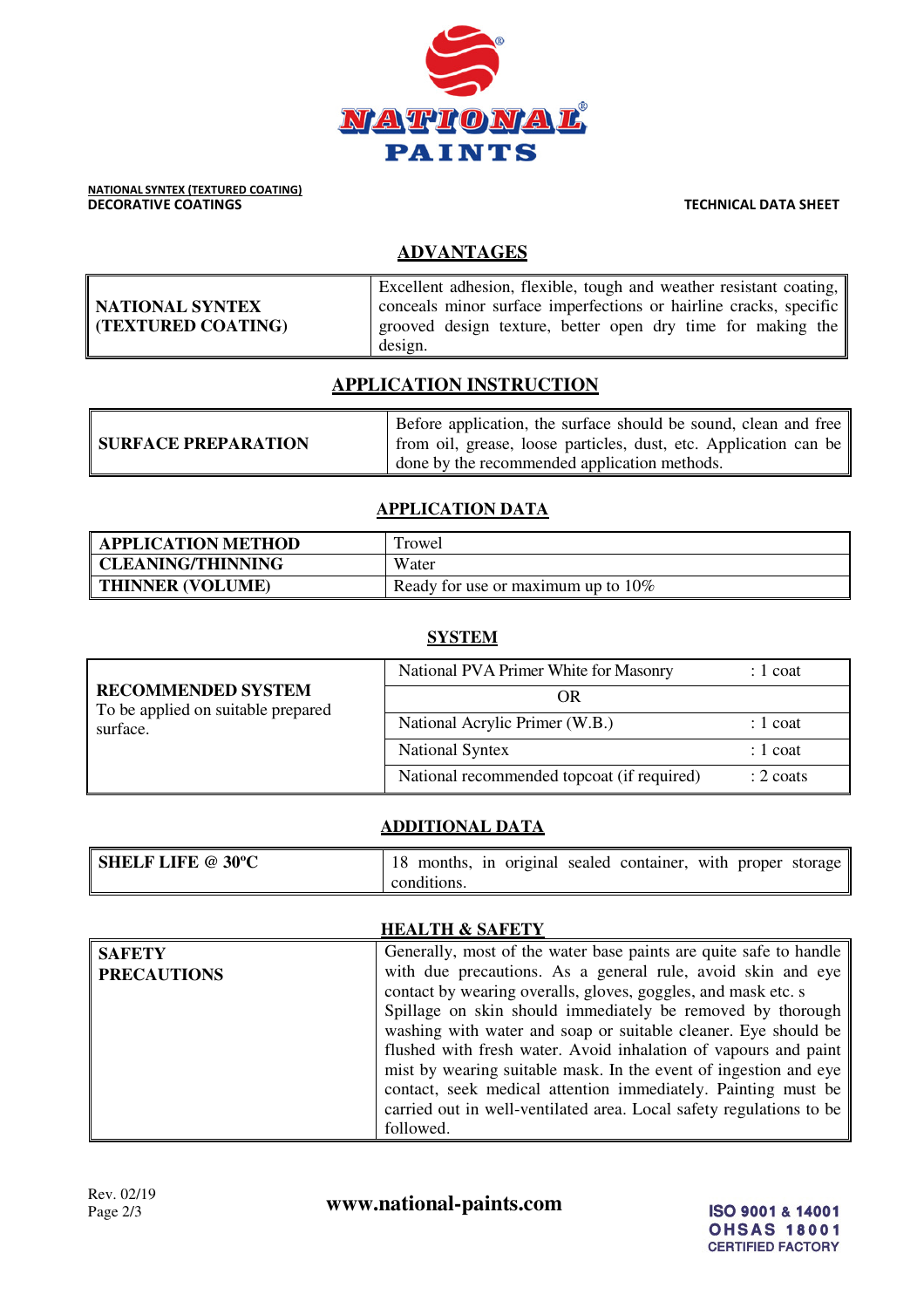

# **ADVANTAGES**

|                    | Excellent adhesion, flexible, tough and weather resistant coating, |
|--------------------|--------------------------------------------------------------------|
| NATIONAL SYNTEX    | conceals minor surface imperfections or hairline cracks, specific  |
| (TEXTURED COATING) | grooved design texture, better open dry time for making the        |
|                    | design.                                                            |

## **APPLICATION INSTRUCTION**

|                            | Before application, the surface should be sound, clean and free  |
|----------------------------|------------------------------------------------------------------|
| <b>SURFACE PREPARATION</b> | from oil, grease, loose particles, dust, etc. Application can be |
|                            | done by the recommended application methods.                     |

#### **APPLICATION DATA**

| <b>APPLICATION METHOD</b> | Trowel                                |
|---------------------------|---------------------------------------|
| <b>CLEANING/THINNING</b>  | Water                                 |
| <b>THINNER (VOLUME)</b>   | Ready for use or maximum up to $10\%$ |

#### **SYSTEM**

| <b>RECOMMENDED SYSTEM</b><br>To be applied on suitable prepared<br>surface. | National PVA Primer White for Masonry      | $: 1$ coat          |  |  |  |
|-----------------------------------------------------------------------------|--------------------------------------------|---------------------|--|--|--|
|                                                                             | OR                                         |                     |  |  |  |
|                                                                             | National Acrylic Primer (W.B.)             | $: 1$ coat          |  |  |  |
|                                                                             | <b>National Syntex</b>                     | $: 1$ coat          |  |  |  |
|                                                                             | National recommended topcoat (if required) | $: 2 \text{ coats}$ |  |  |  |

### **ADDITIONAL DATA**

| <b>SHELF LIFE @ 30°C</b> |             |  | 18 months, in original sealed container, with proper storage |  |  |
|--------------------------|-------------|--|--------------------------------------------------------------|--|--|
|                          | conditions. |  |                                                              |  |  |

#### **HEALTH & SAFETY**

| <b>SAFETY</b>      | Generally, most of the water base paints are quite safe to handle   |
|--------------------|---------------------------------------------------------------------|
| <b>PRECAUTIONS</b> | with due precautions. As a general rule, avoid skin and eye         |
|                    | contact by wearing overalls, gloves, goggles, and mask etc. s       |
|                    | Spillage on skin should immediately be removed by thorough          |
|                    | washing with water and soap or suitable cleaner. Eye should be      |
|                    | flushed with fresh water. Avoid inhalation of vapours and paint     |
|                    | mist by wearing suitable mask. In the event of ingestion and eye    |
|                    | contact, seek medical attention immediately. Painting must be       |
|                    | carried out in well-ventilated area. Local safety regulations to be |
|                    | followed.                                                           |

Rev. 02/19<br>Page 2/3 **www.national-paints.com**